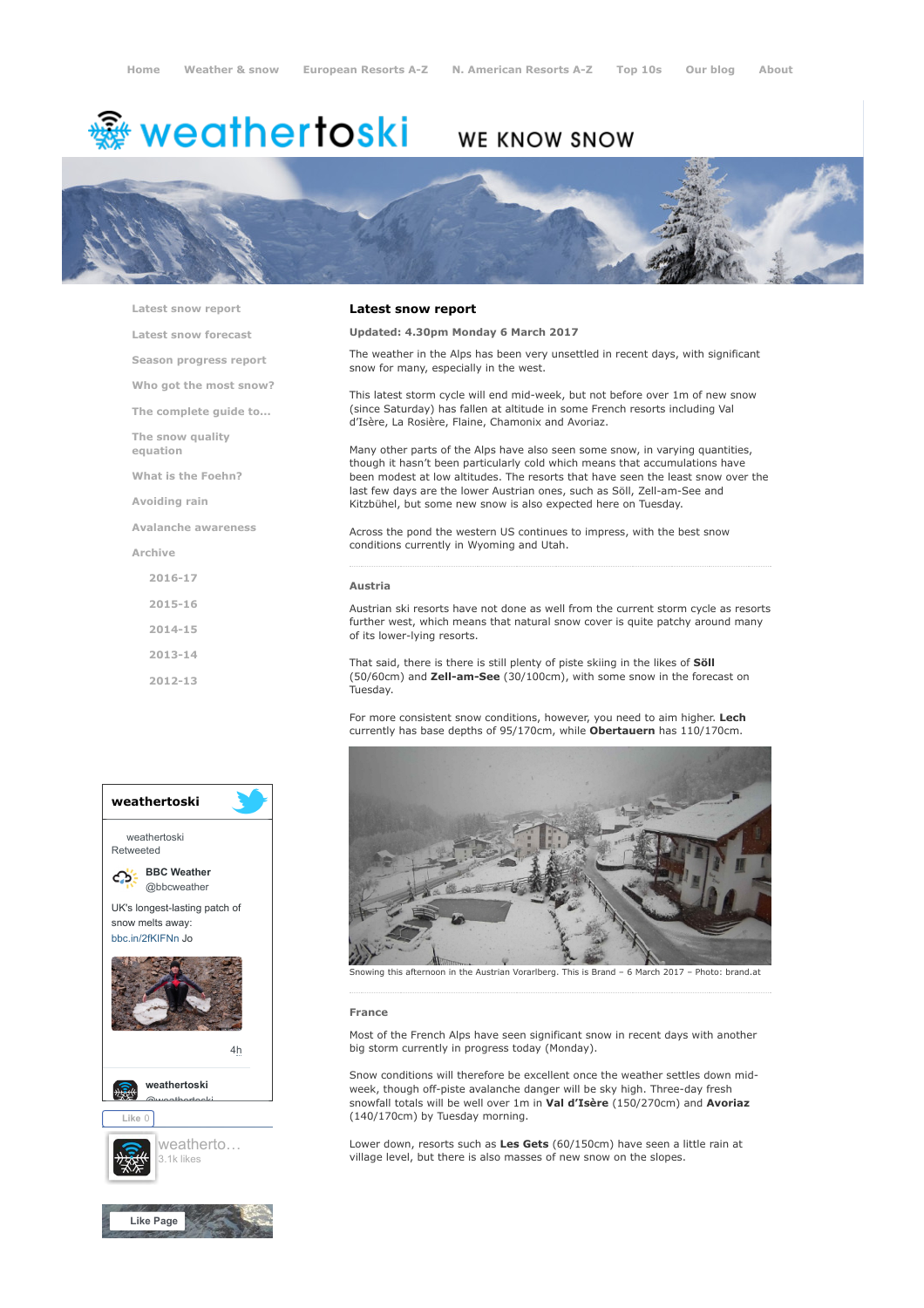# <del>鑾</del> weathertoski

## **WE KNOW SNOW**



[Latest snow report](https://www.weathertoski.co.uk/weather-snow/latest-snow-report/)

[Latest snow forecast](https://www.weathertoski.co.uk/weather-snow/latest-snow-forecast/)

[Season progress report](https://www.weathertoski.co.uk/weather-snow/season-progress-report/)

[Who got the most snow?](https://www.weathertoski.co.uk/weather-snow/who-got-the-most-snow/)

[The complete guide to...](https://www.weathertoski.co.uk/weather-snow/the-complete-guide-to/)

[The snow quality](https://www.weathertoski.co.uk/weather-snow/the-snow-quality-equation/)

[What is the Foehn?](https://www.weathertoski.co.uk/weather-snow/what-is-the-foehn/)

[Avoiding rain](https://www.weathertoski.co.uk/weather-snow/avoiding-rain/)

equation

[Avalanche awareness](https://www.weathertoski.co.uk/weather-snow/avalanche-awareness/)

[Archive](https://www.weathertoski.co.uk/weather-snow/archive/)

[2016-17](https://www.weathertoski.co.uk/weather-snow/archive/2016-17/) [2015-16](https://www.weathertoski.co.uk/weather-snow/archive/2015-16/) [2014-15](https://www.weathertoski.co.uk/weather-snow/archive/2014-15/) [2013-14](https://www.weathertoski.co.uk/weather-snow/archive/2013-14/)

[2012-13](https://www.weathertoski.co.uk/weather-snow/archive/2012-13/)

### Latest snow report

### Updated: 4.30pm Monday 6 March 2017

The weather in the Alps has been very unsettled in recent days, with significant snow for many, especially in the west.

This latest storm cycle will end mid-week, but not before over 1m of new snow (since Saturday) has fallen at altitude in some French resorts including Val d'Isère, La Rosière, Flaine, Chamonix and Avoriaz.

Many other parts of the Alps have also seen some snow, in varying quantities, though it hasn't been particularly cold which means that accumulations have been modest at low altitudes. The resorts that have seen the least snow over the last few days are the lower Austrian ones, such as Söll, Zell-am-See and Kitzbühel, but some new snow is also expected here on Tuesday.

Across the pond the western US continues to impress, with the best snow conditions currently in Wyoming and Utah.

### Austria

Austrian ski resorts have not done as well from the current storm cycle as resorts further west, which means that natural snow cover is quite patchy around many of its lower-lying resorts.

That said, there is there is still plenty of piste skiing in the likes of Söll (50/60cm) and Zell-am-See (30/100cm), with some snow in the forecast on Tuesday.

For more consistent snow conditions, however, you need to aim higher. Lech currently has base depths of 95/170cm, while Obertauern has 110/170cm.





Snowing this afternoon in the Austrian Vorarlberg. This is Brand – 6 March 2017 – Photo: brand.at

#### France

Most of the French Alps have seen significant snow in recent days with another big storm currently in progress today (Monday).

Snow conditions will therefore be excellent once the weather settles down midweek, though off-piste avalanche danger will be sky high. Three-day fresh snowfall totals will be well over 1m in Val d'Isère (150/270cm) and Avoriaz (140/170cm) by Tuesday morning.

Lower down, resorts such as Les Gets (60/150cm) have seen a little rain at village level, but there is also masses of new snow on the slopes.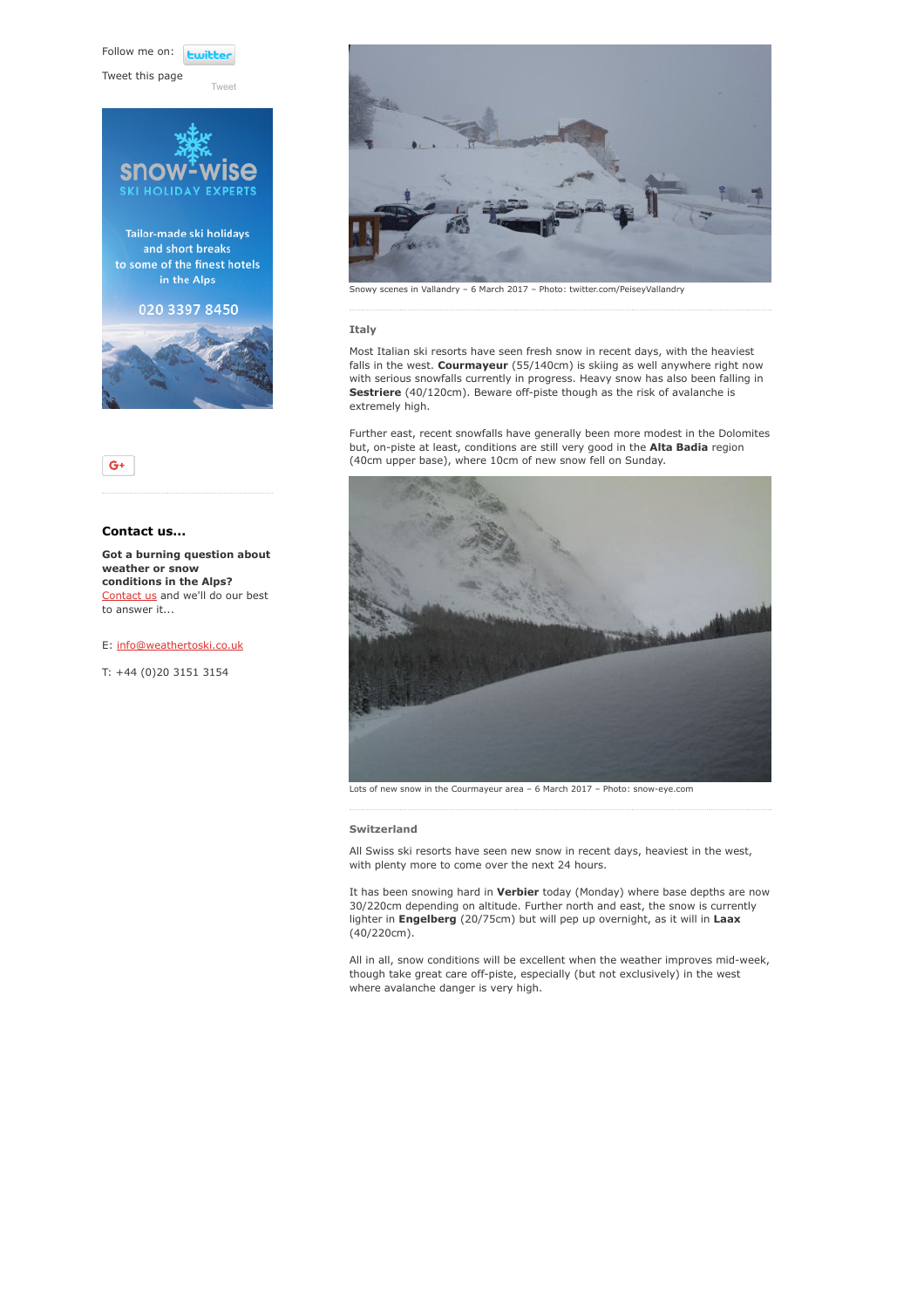Follow me on: **Lwitt** 

Tweet this page



Tailor-made ski holidays and short breaks to some of the finest hotels in the Alps

### 020 3397 8450



### Contact us...

 $G+$ 

Got a burning question about weather or snow conditions in the Alps? [Contact us](https://www.weathertoski.co.uk/about-1/contact-us/) and we'll do our best to answer it...

### E: [info@weathertoski.co.uk](mailto:fraser@weathertoski.co.uk)

T: +44 (0)20 3151 3154



Snowy scenes in Vallandry – 6 March 2017 – Photo: twitter.com/PeiseyVallandry

### Italy

Most Italian ski resorts have seen fresh snow in recent days, with the heaviest falls in the west. Courmayeur (55/140cm) is skiing as well anywhere right now with serious snowfalls currently in progress. Heavy snow has also been falling in Sestriere (40/120cm). Beware off-piste though as the risk of avalanche is extremely high.

Further east, recent snowfalls have generally been more modest in the Dolomites but, on-piste at least, conditions are still very good in the Alta Badia region (40cm upper base), where 10cm of new snow fell on Sunday.



### Switzerland

All Swiss ski resorts have seen new snow in recent days, heaviest in the west, with plenty more to come over the next 24 hours.

It has been snowing hard in Verbier today (Monday) where base depths are now 30/220cm depending on altitude. Further north and east, the snow is currently lighter in Engelberg (20/75cm) but will pep up overnight, as it will in Laax (40/220cm).

All in all, snow conditions will be excellent when the weather improves mid-week, though take great care off-piste, especially (but not exclusively) in the west where avalanche danger is very high.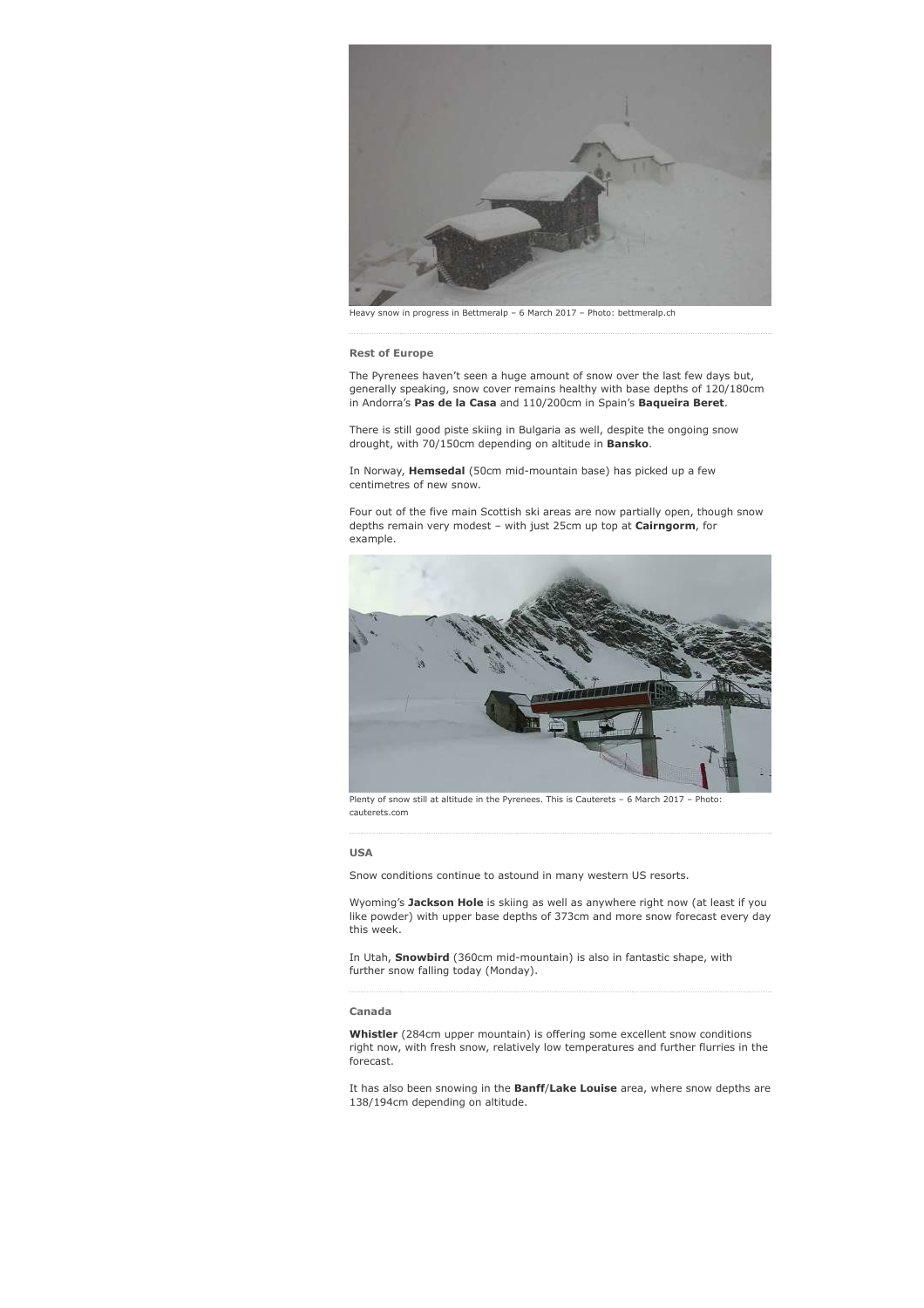

Heavy snow in progress in Bettmeralp – 6 March 2017 – Photo: bettmeralp.ch

### Rest of Europe

The Pyrenees haven't seen a huge amount of snow over the last few days but, generally speaking, snow cover remains healthy with base depths of 120/180cm in Andorra's Pas de la Casa and 110/200cm in Spain's Baqueira Beret.

There is still good piste skiing in Bulgaria as well, despite the ongoing snow drought, with 70/150cm depending on altitude in **Bansko**.

In Norway, Hemsedal (50cm mid-mountain base) has picked up a few centimetres of new snow.

Four out of the five main Scottish ski areas are now partially open, though snow depths remain very modest - with just 25cm up top at Cairngorm, for example.



Plenty of snow still at altitude in the Pyrenees. This is Cauterets – 6 March 2017 – Photo: cauterets.com

### USA

Snow conditions continue to astound in many western US resorts.

Wyoming's Jackson Hole is skiing as well as anywhere right now (at least if you like powder) with upper base depths of 373cm and more snow forecast every day this week.

In Utah, Snowbird (360cm mid-mountain) is also in fantastic shape, with further snow falling today (Monday).

### Canada

Whistler (284cm upper mountain) is offering some excellent snow conditions right now, with fresh snow, relatively low temperatures and further flurries in the forecast.

It has also been snowing in the Banff/Lake Louise area, where snow depths are 138/194cm depending on altitude.